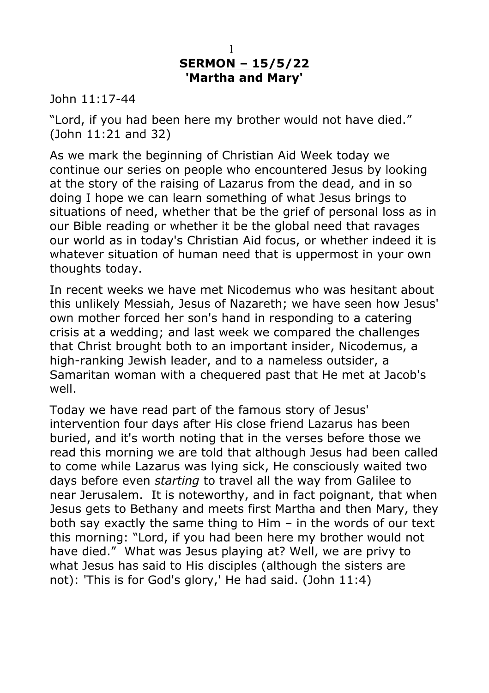## **SERMON – 15/5/22 'Martha and Mary'** 1

John 11:17-44

"Lord, if you had been here my brother would not have died." (John 11:21 and 32)

As we mark the beginning of Christian Aid Week today we continue our series on people who encountered Jesus by looking at the story of the raising of Lazarus from the dead, and in so doing I hope we can learn something of what Jesus brings to situations of need, whether that be the grief of personal loss as in our Bible reading or whether it be the global need that ravages our world as in today's Christian Aid focus, or whether indeed it is whatever situation of human need that is uppermost in your own thoughts today.

In recent weeks we have met Nicodemus who was hesitant about this unlikely Messiah, Jesus of Nazareth; we have seen how Jesus' own mother forced her son's hand in responding to a catering crisis at a wedding; and last week we compared the challenges that Christ brought both to an important insider, Nicodemus, a high-ranking Jewish leader, and to a nameless outsider, a Samaritan woman with a chequered past that He met at Jacob's well.

Today we have read part of the famous story of Jesus' intervention four days after His close friend Lazarus has been buried, and it's worth noting that in the verses before those we read this morning we are told that although Jesus had been called to come while Lazarus was lying sick, He consciously waited two days before even *starting* to travel all the way from Galilee to near Jerusalem. It is noteworthy, and in fact poignant, that when Jesus gets to Bethany and meets first Martha and then Mary, they both say exactly the same thing to Him – in the words of our text this morning: "Lord, if you had been here my brother would not have died." What was Jesus playing at? Well, we are privy to what Jesus has said to His disciples (although the sisters are not): 'This is for God's glory,' He had said. (John 11:4)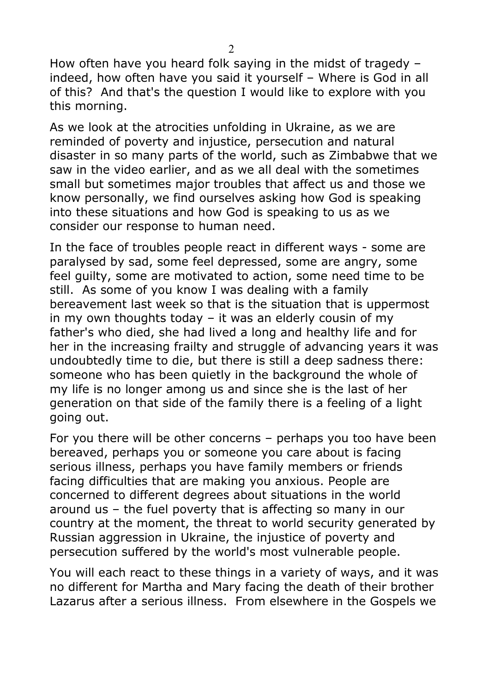How often have you heard folk saying in the midst of tragedy – indeed, how often have you said it yourself – Where is God in all of this? And that's the question I would like to explore with you this morning.

As we look at the atrocities unfolding in Ukraine, as we are reminded of poverty and injustice, persecution and natural disaster in so many parts of the world, such as Zimbabwe that we saw in the video earlier, and as we all deal with the sometimes small but sometimes major troubles that affect us and those we know personally, we find ourselves asking how God is speaking into these situations and how God is speaking to us as we consider our response to human need.

In the face of troubles people react in different ways - some are paralysed by sad, some feel depressed, some are angry, some feel guilty, some are motivated to action, some need time to be still. As some of you know I was dealing with a family bereavement last week so that is the situation that is uppermost in my own thoughts today – it was an elderly cousin of my father's who died, she had lived a long and healthy life and for her in the increasing frailty and struggle of advancing years it was undoubtedly time to die, but there is still a deep sadness there: someone who has been quietly in the background the whole of my life is no longer among us and since she is the last of her generation on that side of the family there is a feeling of a light going out.

For you there will be other concerns – perhaps you too have been bereaved, perhaps you or someone you care about is facing serious illness, perhaps you have family members or friends facing difficulties that are making you anxious. People are concerned to different degrees about situations in the world around us – the fuel poverty that is affecting so many in our country at the moment, the threat to world security generated by Russian aggression in Ukraine, the injustice of poverty and persecution suffered by the world's most vulnerable people.

You will each react to these things in a variety of ways, and it was no different for Martha and Mary facing the death of their brother Lazarus after a serious illness. From elsewhere in the Gospels we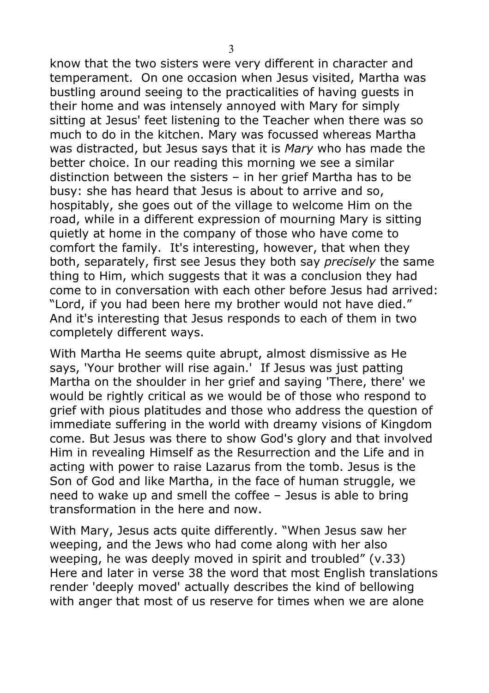know that the two sisters were very different in character and temperament. On one occasion when Jesus visited, Martha was bustling around seeing to the practicalities of having guests in their home and was intensely annoyed with Mary for simply sitting at Jesus' feet listening to the Teacher when there was so much to do in the kitchen. Mary was focussed whereas Martha was distracted, but Jesus says that it is *Mary* who has made the better choice. In our reading this morning we see a similar distinction between the sisters – in her grief Martha has to be busy: she has heard that Jesus is about to arrive and so, hospitably, she goes out of the village to welcome Him on the road, while in a different expression of mourning Mary is sitting quietly at home in the company of those who have come to comfort the family. It's interesting, however, that when they both, separately, first see Jesus they both say *precisely* the same thing to Him, which suggests that it was a conclusion they had come to in conversation with each other before Jesus had arrived: "Lord, if you had been here my brother would not have died." And it's interesting that Jesus responds to each of them in two completely different ways.

With Martha He seems quite abrupt, almost dismissive as He says, 'Your brother will rise again.' If Jesus was just patting Martha on the shoulder in her grief and saying 'There, there' we would be rightly critical as we would be of those who respond to grief with pious platitudes and those who address the question of immediate suffering in the world with dreamy visions of Kingdom come. But Jesus was there to show God's glory and that involved Him in revealing Himself as the Resurrection and the Life and in acting with power to raise Lazarus from the tomb. Jesus is the Son of God and like Martha, in the face of human struggle, we need to wake up and smell the coffee – Jesus is able to bring transformation in the here and now.

With Mary, Jesus acts quite differently. "When Jesus saw her weeping, and the Jews who had come along with her also weeping, he was deeply moved in spirit and troubled" (v.33) Here and later in verse 38 the word that most English translations render 'deeply moved' actually describes the kind of bellowing with anger that most of us reserve for times when we are alone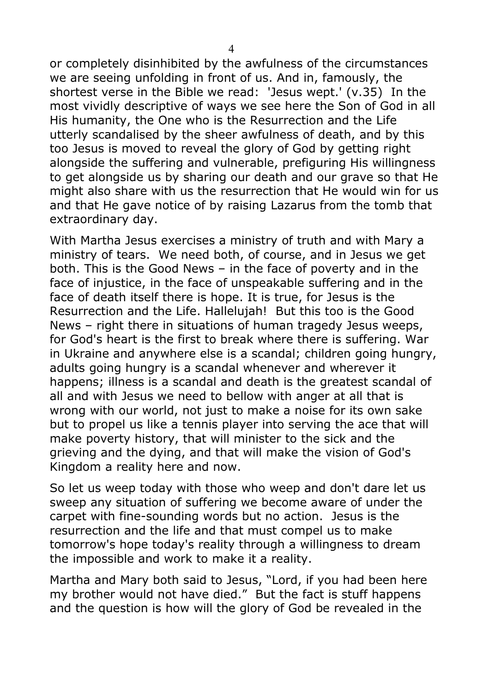or completely disinhibited by the awfulness of the circumstances we are seeing unfolding in front of us. And in, famously, the shortest verse in the Bible we read: 'Jesus wept.' (v.35) In the most vividly descriptive of ways we see here the Son of God in all His humanity, the One who is the Resurrection and the Life utterly scandalised by the sheer awfulness of death, and by this too Jesus is moved to reveal the glory of God by getting right alongside the suffering and vulnerable, prefiguring His willingness to get alongside us by sharing our death and our grave so that He might also share with us the resurrection that He would win for us and that He gave notice of by raising Lazarus from the tomb that extraordinary day.

With Martha Jesus exercises a ministry of truth and with Mary a ministry of tears. We need both, of course, and in Jesus we get both. This is the Good News – in the face of poverty and in the face of injustice, in the face of unspeakable suffering and in the face of death itself there is hope. It is true, for Jesus is the Resurrection and the Life. Hallelujah! But this too is the Good News – right there in situations of human tragedy Jesus weeps, for God's heart is the first to break where there is suffering. War in Ukraine and anywhere else is a scandal; children going hungry, adults going hungry is a scandal whenever and wherever it happens; illness is a scandal and death is the greatest scandal of all and with Jesus we need to bellow with anger at all that is wrong with our world, not just to make a noise for its own sake but to propel us like a tennis player into serving the ace that will make poverty history, that will minister to the sick and the grieving and the dying, and that will make the vision of God's Kingdom a reality here and now.

So let us weep today with those who weep and don't dare let us sweep any situation of suffering we become aware of under the carpet with fine-sounding words but no action. Jesus is the resurrection and the life and that must compel us to make tomorrow's hope today's reality through a willingness to dream the impossible and work to make it a reality.

Martha and Mary both said to Jesus, "Lord, if you had been here my brother would not have died." But the fact is stuff happens and the question is how will the glory of God be revealed in the